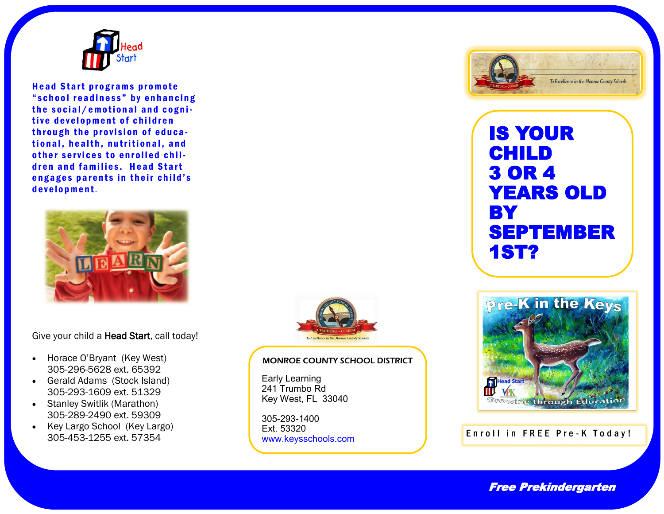

Head Start programs promote " school readiness" by enhancing the social/emotional and cognitive development of children through the provision of educational, health, nutritional, and other services to enrolled children and families. Head Start engages parents in their child's development.



Give your child a Head Start, call today!

- Horace O'Bryant (Key West) 305-296-5628 ext. 65392
- Gerald Adams (Stock Island) 305-293-1609 ext. 51329
- Stanley Switlik (Marathon) 305-289-2490 ext. 59309
- Key Largo School (Key Largo) 305-453-1255 ext. 57354



#### MONROE COUNTY SCHOOL DISTRICT

Early Learning 241 Trumbo Rd Key West, FL 33040

305-293-1400 Ext. 53320<br>www.keysschools.com



# IS YOUR CHILD 3 OR 4 YEARS OLD **BY** SEPTEMBER 1ST?



## Enroll in FREE Pre-K Today!

Free Prekindergarten